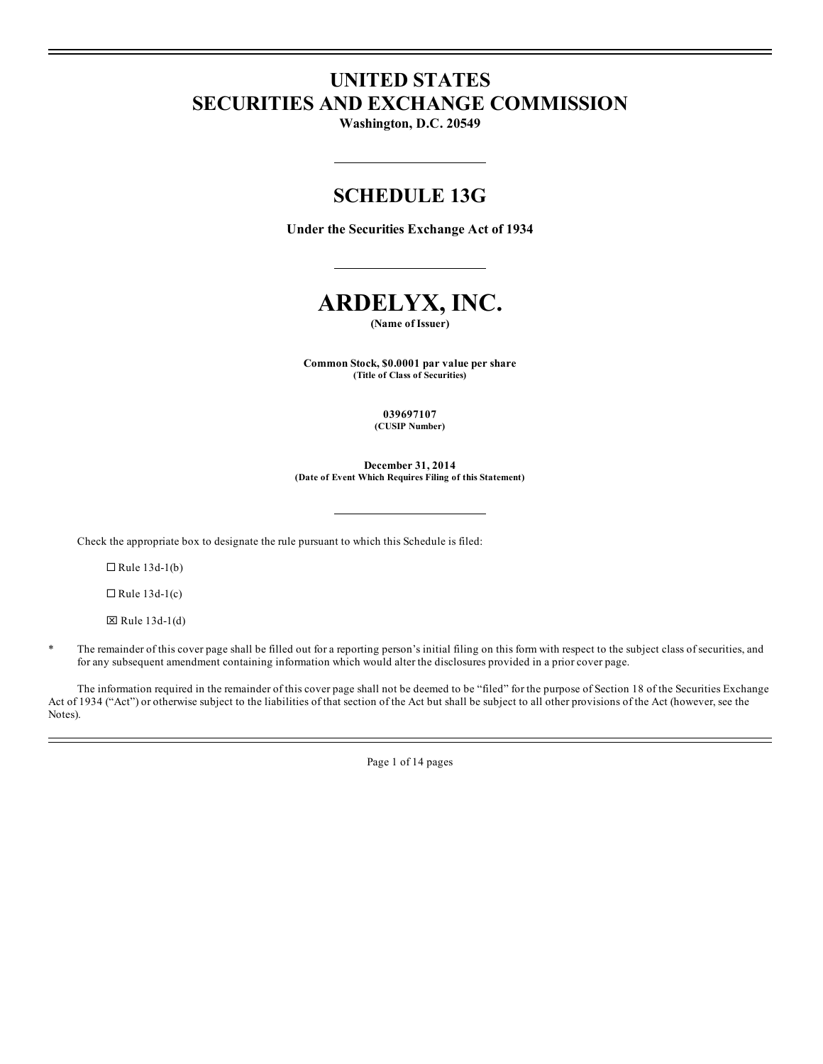# **UNITED STATES SECURITIES AND EXCHANGE COMMISSION**

**Washington, D.C. 20549**

## **SCHEDULE 13G**

**Under the Securities Exchange Act of 1934**



**(Name of Issuer)**

**Common Stock, \$0.0001 par value per share (Title of Class of Securities)**

> **039697107 (CUSIP Number)**

**December 31, 2014 (Date of Event Which Requires Filing of this Statement)**

Check the appropriate box to designate the rule pursuant to which this Schedule is filed:

 $\Box$  Rule 13d-1(b)

 $\Box$  Rule 13d-1(c)

 $\boxtimes$  Rule 13d-1(d)

\* The remainder of this cover page shall be filled out for a reporting person's initial filing on this form with respect to the subject class of securities, and for any subsequent amendment containing information which would alter the disclosures provided in a prior cover page.

The information required in the remainder of this cover page shall not be deemed to be "filed" for the purpose of Section 18 of the Securities Exchange Act of 1934 ("Act") or otherwise subject to the liabilities of that section of the Act but shall be subject to all other provisions of the Act (however, see the Notes).

Page 1 of 14 pages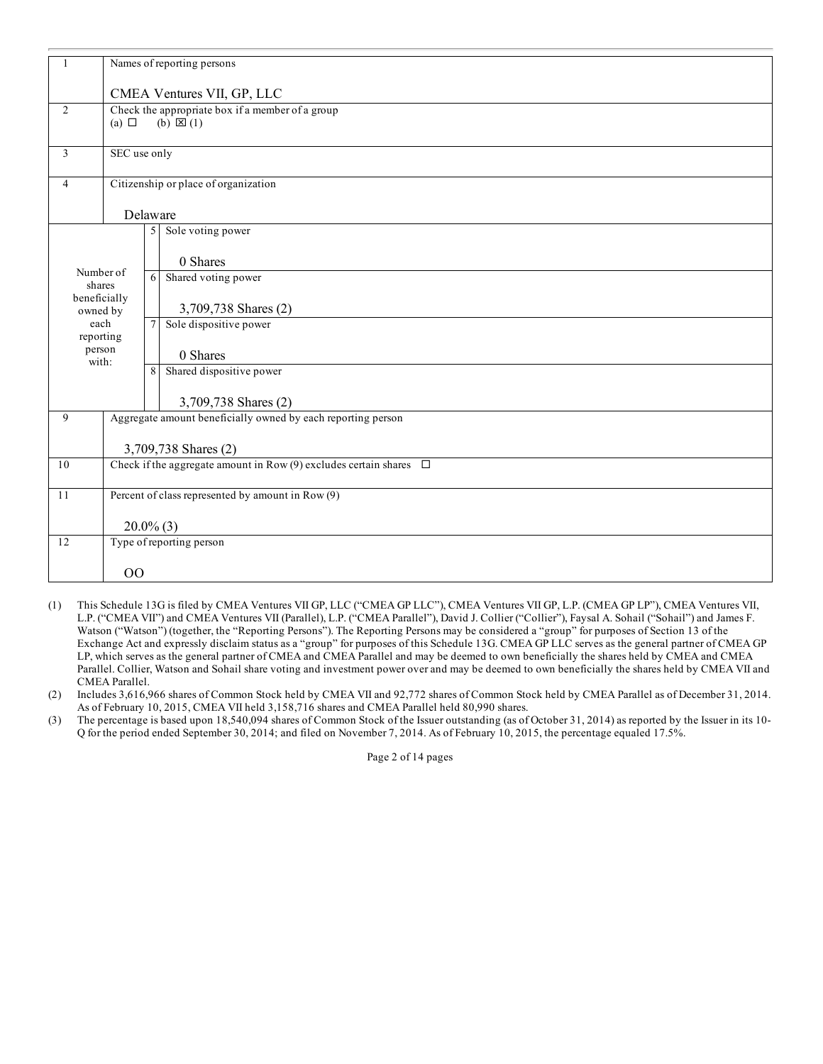|                          | Names of reporting persons                                              |                                                                         |                                                              |  |  |  |
|--------------------------|-------------------------------------------------------------------------|-------------------------------------------------------------------------|--------------------------------------------------------------|--|--|--|
|                          | CMEA Ventures VII, GP, LLC                                              |                                                                         |                                                              |  |  |  |
| $\overline{2}$           | (a) $\Box$                                                              | Check the appropriate box if a member of a group<br>$(b) \boxtimes (1)$ |                                                              |  |  |  |
| 3                        | SEC use only                                                            |                                                                         |                                                              |  |  |  |
| $\overline{4}$           |                                                                         |                                                                         | Citizenship or place of organization                         |  |  |  |
|                          | Delaware                                                                |                                                                         |                                                              |  |  |  |
|                          |                                                                         | 5                                                                       | Sole voting power                                            |  |  |  |
|                          |                                                                         |                                                                         | 0 Shares                                                     |  |  |  |
| Number of<br>shares      |                                                                         | 6                                                                       | Shared voting power                                          |  |  |  |
| beneficially<br>owned by |                                                                         |                                                                         | 3,709,738 Shares (2)                                         |  |  |  |
| each<br>reporting        |                                                                         | $\tau$                                                                  | Sole dispositive power                                       |  |  |  |
| person<br>with:          |                                                                         |                                                                         | 0 Shares                                                     |  |  |  |
|                          |                                                                         | 8                                                                       | Shared dispositive power                                     |  |  |  |
|                          |                                                                         |                                                                         | 3,709,738 Shares (2)                                         |  |  |  |
| 9                        |                                                                         |                                                                         | Aggregate amount beneficially owned by each reporting person |  |  |  |
|                          | 3,709,738 Shares (2)                                                    |                                                                         |                                                              |  |  |  |
| 10                       | Check if the aggregate amount in Row (9) excludes certain shares $\Box$ |                                                                         |                                                              |  |  |  |
| 11                       | Percent of class represented by amount in Row (9)                       |                                                                         |                                                              |  |  |  |
|                          | $20.0\%$ (3)                                                            |                                                                         |                                                              |  |  |  |
| 12                       |                                                                         |                                                                         | Type of reporting person                                     |  |  |  |
|                          | 00                                                                      |                                                                         |                                                              |  |  |  |

- (1) This Schedule 13G is filed by CMEA Ventures VII GP, LLC ("CMEA GP LLC"), CMEA Ventures VII GP, L.P. (CMEA GP LP"), CMEA Ventures VII, L.P. ("CMEA VII") and CMEA Ventures VII (Parallel), L.P. ("CMEA Parallel"), David J. Collier ("Collier"), Faysal A. Sohail ("Sohail") and James F. Watson ("Watson") (together, the "Reporting Persons"). The Reporting Persons may be considered a "group" for purposes of Section 13 of the Exchange Act and expressly disclaim status as a "group" for purposes of this Schedule 13G. CMEA GP LLC serves as the general partner of CMEA GP LP, which serves as the general partner of CMEA and CMEA Parallel and may be deemed to own beneficially the shares held by CMEA and CMEA Parallel. Collier, Watson and Sohail share voting and investment power over and may be deemed to own beneficially the shares held by CMEA VII and CMEA Parallel.
- (2) Includes 3,616,966 shares of Common Stock held by CMEA VII and 92,772 shares of Common Stock held by CMEA Parallel as of December 31, 2014. As of February 10, 2015, CMEA VII held 3,158,716 shares and CMEA Parallel held 80,990 shares.
- (3) The percentage is based upon 18,540,094 shares of Common Stock of the Issuer outstanding (as of October 31, 2014) as reported by the Issuer in its 10- Q for the period ended September 30, 2014; and filed on November 7, 2014. As of February 10, 2015, the percentage equaled 17.5%.

Page 2 of 14 pages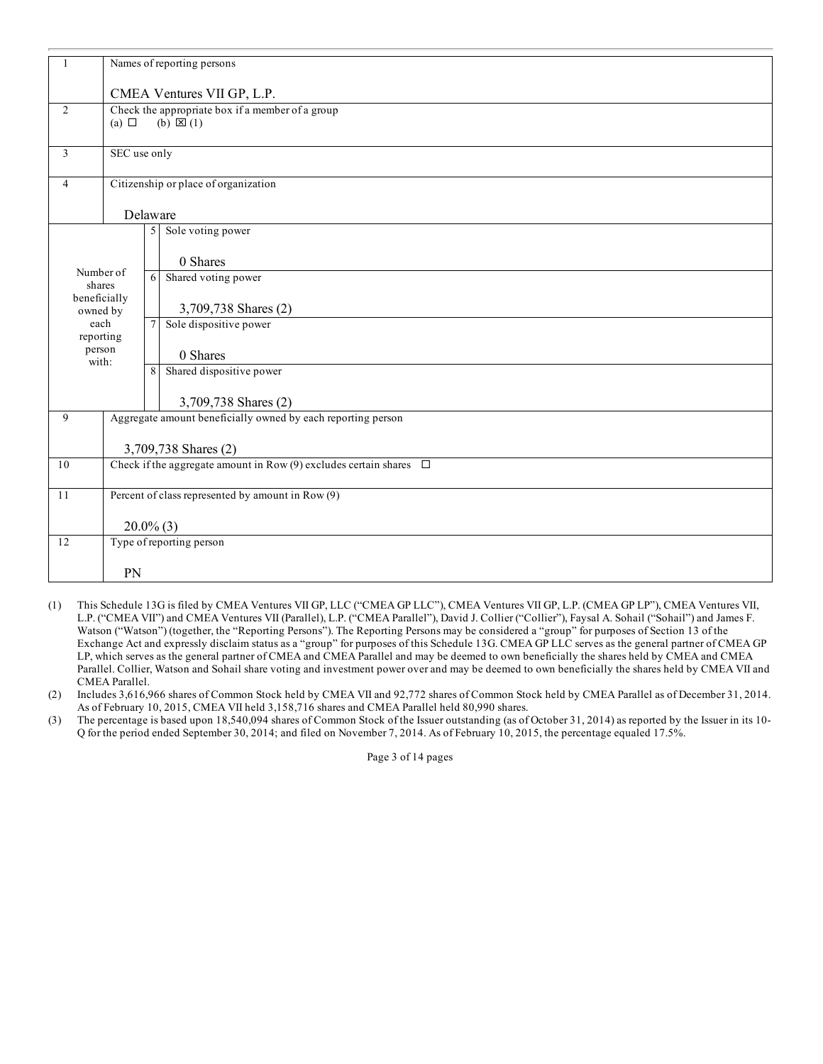| 1                        | Names of reporting persons                                              |                                                                         |                                                              |  |  |  |
|--------------------------|-------------------------------------------------------------------------|-------------------------------------------------------------------------|--------------------------------------------------------------|--|--|--|
|                          | CMEA Ventures VII GP, L.P.                                              |                                                                         |                                                              |  |  |  |
| $\overline{2}$           | (a) $\Box$                                                              | Check the appropriate box if a member of a group<br>$(b) \boxtimes (1)$ |                                                              |  |  |  |
| 3                        | SEC use only                                                            |                                                                         |                                                              |  |  |  |
| 4                        |                                                                         |                                                                         | Citizenship or place of organization                         |  |  |  |
|                          | Delaware                                                                |                                                                         |                                                              |  |  |  |
|                          |                                                                         | 5                                                                       | Sole voting power                                            |  |  |  |
| Number of                |                                                                         |                                                                         | 0 Shares                                                     |  |  |  |
| shares                   |                                                                         | 6                                                                       | Shared voting power                                          |  |  |  |
| beneficially<br>owned by |                                                                         |                                                                         | 3,709,738 Shares (2)                                         |  |  |  |
| each<br>reporting        |                                                                         | 7                                                                       | Sole dispositive power                                       |  |  |  |
| person<br>with:          |                                                                         |                                                                         | 0 Shares                                                     |  |  |  |
|                          |                                                                         | 8                                                                       | Shared dispositive power                                     |  |  |  |
|                          |                                                                         |                                                                         | 3,709,738 Shares (2)                                         |  |  |  |
| 9                        |                                                                         |                                                                         | Aggregate amount beneficially owned by each reporting person |  |  |  |
|                          | 3,709,738 Shares (2)                                                    |                                                                         |                                                              |  |  |  |
| 10                       | Check if the aggregate amount in Row (9) excludes certain shares $\Box$ |                                                                         |                                                              |  |  |  |
| 11                       |                                                                         |                                                                         | Percent of class represented by amount in Row (9)            |  |  |  |
|                          | $20.0\%$ (3)                                                            |                                                                         |                                                              |  |  |  |
| 12                       |                                                                         |                                                                         | Type of reporting person                                     |  |  |  |
|                          | PN                                                                      |                                                                         |                                                              |  |  |  |

- (1) This Schedule 13G is filed by CMEA Ventures VII GP, LLC ("CMEA GP LLC"), CMEA Ventures VII GP, L.P. (CMEA GP LP"), CMEA Ventures VII, L.P. ("CMEA VII") and CMEA Ventures VII (Parallel), L.P. ("CMEA Parallel"), David J. Collier ("Collier"), Faysal A. Sohail ("Sohail") and James F. Watson ("Watson") (together, the "Reporting Persons"). The Reporting Persons may be considered a "group" for purposes of Section 13 of the Exchange Act and expressly disclaim status as a "group" for purposes of this Schedule 13G. CMEA GP LLC serves as the general partner of CMEA GP LP, which serves as the general partner of CMEA and CMEA Parallel and may be deemed to own beneficially the shares held by CMEA and CMEA Parallel. Collier, Watson and Sohail share voting and investment power over and may be deemed to own beneficially the shares held by CMEA VII and CMEA Parallel.
- (2) Includes 3,616,966 shares of Common Stock held by CMEA VII and 92,772 shares of Common Stock held by CMEA Parallel as of December 31, 2014. As of February 10, 2015, CMEA VII held 3,158,716 shares and CMEA Parallel held 80,990 shares.
- (3) The percentage is based upon 18,540,094 shares of Common Stock of the Issuer outstanding (as of October 31, 2014) as reported by the Issuer in its 10- Q for the period ended September 30, 2014; and filed on November 7, 2014. As of February 10, 2015, the percentage equaled 17.5%.

Page 3 of 14 pages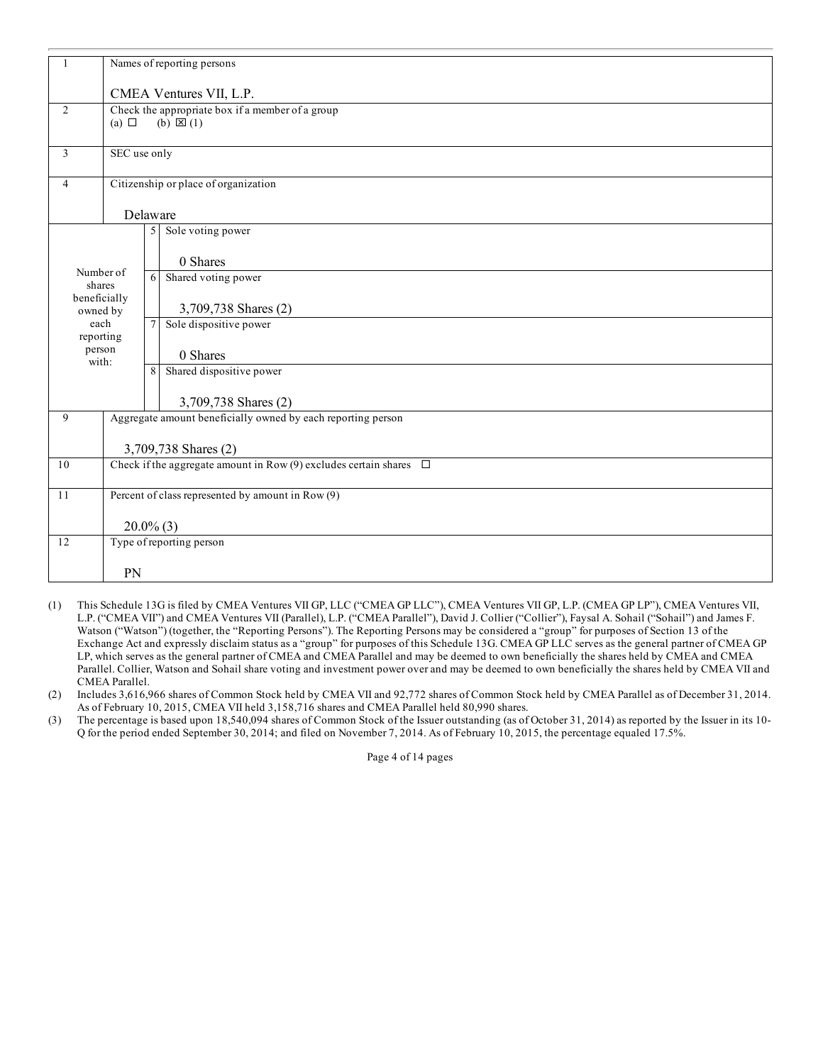|                          | Names of reporting persons                                              |                                                                         |                                                              |  |  |  |
|--------------------------|-------------------------------------------------------------------------|-------------------------------------------------------------------------|--------------------------------------------------------------|--|--|--|
|                          | CMEA Ventures VII, L.P.                                                 |                                                                         |                                                              |  |  |  |
| $\overline{2}$           | (a) $\Box$                                                              | Check the appropriate box if a member of a group<br>$(b) \boxtimes (1)$ |                                                              |  |  |  |
| 3                        | SEC use only                                                            |                                                                         |                                                              |  |  |  |
| $\overline{4}$           |                                                                         |                                                                         | Citizenship or place of organization                         |  |  |  |
|                          | Delaware                                                                |                                                                         |                                                              |  |  |  |
|                          |                                                                         | 5                                                                       | Sole voting power                                            |  |  |  |
|                          |                                                                         |                                                                         | 0 Shares                                                     |  |  |  |
| Number of<br>shares      |                                                                         | 6                                                                       | Shared voting power                                          |  |  |  |
| beneficially<br>owned by |                                                                         |                                                                         | 3,709,738 Shares (2)                                         |  |  |  |
| each<br>reporting        |                                                                         | $\tau$                                                                  | Sole dispositive power                                       |  |  |  |
| person<br>with:          |                                                                         |                                                                         | 0 Shares                                                     |  |  |  |
|                          |                                                                         | 8                                                                       | Shared dispositive power                                     |  |  |  |
|                          |                                                                         |                                                                         | 3,709,738 Shares (2)                                         |  |  |  |
| 9                        |                                                                         |                                                                         | Aggregate amount beneficially owned by each reporting person |  |  |  |
|                          | 3,709,738 Shares (2)                                                    |                                                                         |                                                              |  |  |  |
| $1\,0$                   | Check if the aggregate amount in Row (9) excludes certain shares $\Box$ |                                                                         |                                                              |  |  |  |
| 11                       | Percent of class represented by amount in Row (9)                       |                                                                         |                                                              |  |  |  |
|                          | $20.0\%$ (3)                                                            |                                                                         |                                                              |  |  |  |
| 12                       |                                                                         |                                                                         | Type of reporting person                                     |  |  |  |
|                          | PN                                                                      |                                                                         |                                                              |  |  |  |

- (1) This Schedule 13G is filed by CMEA Ventures VII GP, LLC ("CMEA GP LLC"), CMEA Ventures VII GP, L.P. (CMEA GP LP"), CMEA Ventures VII, L.P. ("CMEA VII") and CMEA Ventures VII (Parallel), L.P. ("CMEA Parallel"), David J. Collier ("Collier"), Faysal A. Sohail ("Sohail") and James F. Watson ("Watson") (together, the "Reporting Persons"). The Reporting Persons may be considered a "group" for purposes of Section 13 of the Exchange Act and expressly disclaim status as a "group" for purposes of this Schedule 13G. CMEA GP LLC serves as the general partner of CMEA GP LP, which serves as the general partner of CMEA and CMEA Parallel and may be deemed to own beneficially the shares held by CMEA and CMEA Parallel. Collier, Watson and Sohail share voting and investment power over and may be deemed to own beneficially the shares held by CMEA VII and CMEA Parallel.
- (2) Includes 3,616,966 shares of Common Stock held by CMEA VII and 92,772 shares of Common Stock held by CMEA Parallel as of December 31, 2014. As of February 10, 2015, CMEA VII held 3,158,716 shares and CMEA Parallel held 80,990 shares.
- (3) The percentage is based upon 18,540,094 shares of Common Stock of the Issuer outstanding (as of October 31, 2014) as reported by the Issuer in its 10- Q for the period ended September 30, 2014; and filed on November 7, 2014. As of February 10, 2015, the percentage equaled 17.5%.

Page 4 of 14 pages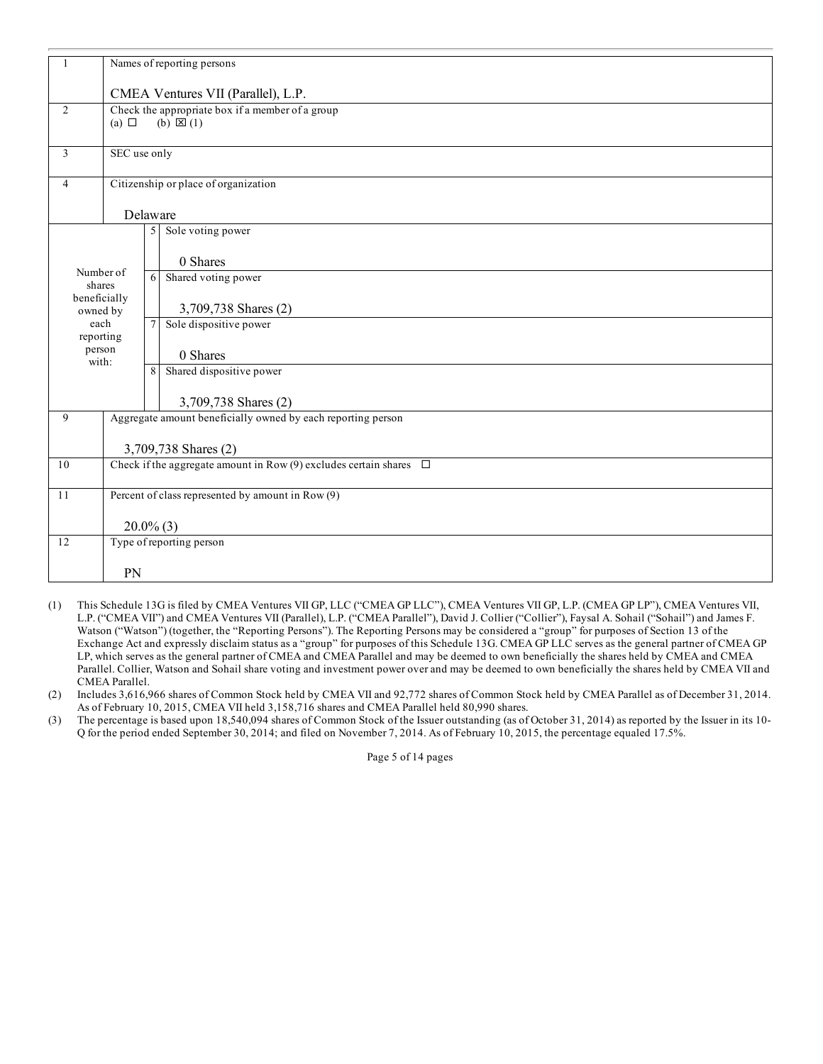| 1                        | Names of reporting persons                                              |                                                                      |                                                              |  |  |  |
|--------------------------|-------------------------------------------------------------------------|----------------------------------------------------------------------|--------------------------------------------------------------|--|--|--|
|                          | CMEA Ventures VII (Parallel), L.P.                                      |                                                                      |                                                              |  |  |  |
| $\overline{2}$           | (a) $\Box$                                                              | Check the appropriate box if a member of a group<br>$(b) \times (1)$ |                                                              |  |  |  |
| 3                        | SEC use only                                                            |                                                                      |                                                              |  |  |  |
| 4                        |                                                                         |                                                                      | Citizenship or place of organization                         |  |  |  |
|                          | Delaware                                                                |                                                                      |                                                              |  |  |  |
|                          |                                                                         | 5                                                                    | Sole voting power                                            |  |  |  |
| Number of                |                                                                         |                                                                      | 0 Shares                                                     |  |  |  |
| shares                   |                                                                         | 6                                                                    | Shared voting power                                          |  |  |  |
| beneficially<br>owned by |                                                                         |                                                                      | 3,709,738 Shares (2)                                         |  |  |  |
| each<br>reporting        |                                                                         | 7                                                                    | Sole dispositive power                                       |  |  |  |
| person<br>with:          |                                                                         |                                                                      | 0 Shares                                                     |  |  |  |
|                          |                                                                         | 8                                                                    | Shared dispositive power                                     |  |  |  |
|                          |                                                                         |                                                                      | 3,709,738 Shares (2)                                         |  |  |  |
| 9                        |                                                                         |                                                                      | Aggregate amount beneficially owned by each reporting person |  |  |  |
|                          | 3,709,738 Shares (2)                                                    |                                                                      |                                                              |  |  |  |
| 10                       | Check if the aggregate amount in Row (9) excludes certain shares $\Box$ |                                                                      |                                                              |  |  |  |
| 11                       | Percent of class represented by amount in Row (9)                       |                                                                      |                                                              |  |  |  |
|                          | $20.0\%$ (3)                                                            |                                                                      |                                                              |  |  |  |
| 12                       |                                                                         |                                                                      | Type of reporting person                                     |  |  |  |
|                          | PN                                                                      |                                                                      |                                                              |  |  |  |

- (1) This Schedule 13G is filed by CMEA Ventures VII GP, LLC ("CMEA GP LLC"), CMEA Ventures VII GP, L.P. (CMEA GP LP"), CMEA Ventures VII, L.P. ("CMEA VII") and CMEA Ventures VII (Parallel), L.P. ("CMEA Parallel"), David J. Collier ("Collier"), Faysal A. Sohail ("Sohail") and James F. Watson ("Watson") (together, the "Reporting Persons"). The Reporting Persons may be considered a "group" for purposes of Section 13 of the Exchange Act and expressly disclaim status as a "group" for purposes of this Schedule 13G. CMEA GP LLC serves as the general partner of CMEA GP LP, which serves as the general partner of CMEA and CMEA Parallel and may be deemed to own beneficially the shares held by CMEA and CMEA Parallel. Collier, Watson and Sohail share voting and investment power over and may be deemed to own beneficially the shares held by CMEA VII and CMEA Parallel.
- (2) Includes 3,616,966 shares of Common Stock held by CMEA VII and 92,772 shares of Common Stock held by CMEA Parallel as of December 31, 2014. As of February 10, 2015, CMEA VII held 3,158,716 shares and CMEA Parallel held 80,990 shares.
- (3) The percentage is based upon 18,540,094 shares of Common Stock of the Issuer outstanding (as of October 31, 2014) as reported by the Issuer in its 10- Q for the period ended September 30, 2014; and filed on November 7, 2014. As of February 10, 2015, the percentage equaled 17.5%.

Page 5 of 14 pages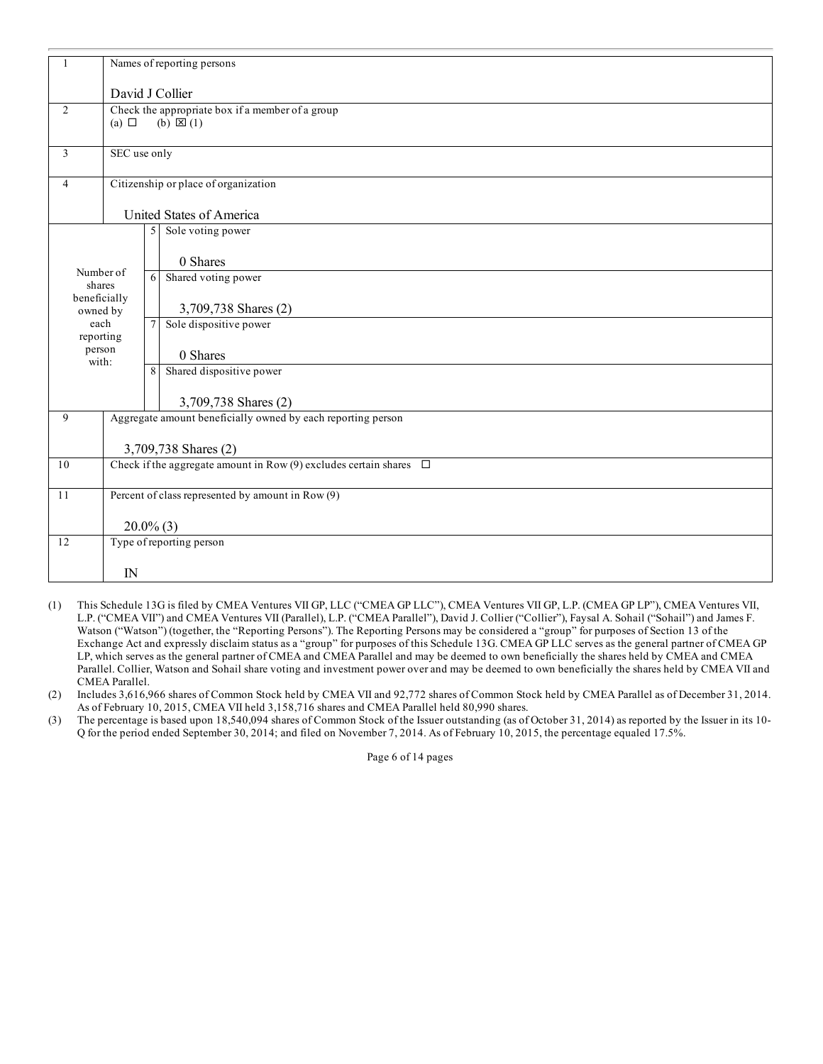|                          | Names of reporting persons                                              |                                                                      |                                                              |  |  |  |
|--------------------------|-------------------------------------------------------------------------|----------------------------------------------------------------------|--------------------------------------------------------------|--|--|--|
|                          | David J Collier                                                         |                                                                      |                                                              |  |  |  |
| $\overline{2}$           | (a) $\Box$                                                              | Check the appropriate box if a member of a group<br>$(b) \times (1)$ |                                                              |  |  |  |
| 3                        | SEC use only                                                            |                                                                      |                                                              |  |  |  |
| 4                        |                                                                         |                                                                      | Citizenship or place of organization                         |  |  |  |
|                          |                                                                         |                                                                      | United States of America                                     |  |  |  |
|                          |                                                                         | 5                                                                    | Sole voting power                                            |  |  |  |
| Number of                |                                                                         |                                                                      | 0 Shares                                                     |  |  |  |
| shares                   |                                                                         | 6                                                                    | Shared voting power                                          |  |  |  |
| beneficially<br>owned by |                                                                         |                                                                      | 3,709,738 Shares (2)                                         |  |  |  |
| each<br>reporting        |                                                                         | $\tau$                                                               | Sole dispositive power                                       |  |  |  |
| person<br>with:          |                                                                         |                                                                      | 0 Shares                                                     |  |  |  |
|                          |                                                                         | 8                                                                    | Shared dispositive power                                     |  |  |  |
|                          |                                                                         |                                                                      | 3,709,738 Shares (2)                                         |  |  |  |
| 9                        |                                                                         |                                                                      | Aggregate amount beneficially owned by each reporting person |  |  |  |
|                          | 3,709,738 Shares (2)                                                    |                                                                      |                                                              |  |  |  |
| 10                       | Check if the aggregate amount in Row (9) excludes certain shares $\Box$ |                                                                      |                                                              |  |  |  |
| 11                       | Percent of class represented by amount in Row (9)                       |                                                                      |                                                              |  |  |  |
|                          | $20.0\%$ (3)                                                            |                                                                      |                                                              |  |  |  |
| 12                       |                                                                         |                                                                      | Type of reporting person                                     |  |  |  |
|                          | IN                                                                      |                                                                      |                                                              |  |  |  |

- (1) This Schedule 13G is filed by CMEA Ventures VII GP, LLC ("CMEA GP LLC"), CMEA Ventures VII GP, L.P. (CMEA GP LP"), CMEA Ventures VII, L.P. ("CMEA VII") and CMEA Ventures VII (Parallel), L.P. ("CMEA Parallel"), David J. Collier ("Collier"), Faysal A. Sohail ("Sohail") and James F. Watson ("Watson") (together, the "Reporting Persons"). The Reporting Persons may be considered a "group" for purposes of Section 13 of the Exchange Act and expressly disclaim status as a "group" for purposes of this Schedule 13G. CMEA GP LLC serves as the general partner of CMEA GP LP, which serves as the general partner of CMEA and CMEA Parallel and may be deemed to own beneficially the shares held by CMEA and CMEA Parallel. Collier, Watson and Sohail share voting and investment power over and may be deemed to own beneficially the shares held by CMEA VII and CMEA Parallel.
- (2) Includes 3,616,966 shares of Common Stock held by CMEA VII and 92,772 shares of Common Stock held by CMEA Parallel as of December 31, 2014. As of February 10, 2015, CMEA VII held 3,158,716 shares and CMEA Parallel held 80,990 shares.
- (3) The percentage is based upon 18,540,094 shares of Common Stock of the Issuer outstanding (as of October 31, 2014) as reported by the Issuer in its 10- Q for the period ended September 30, 2014; and filed on November 7, 2014. As of February 10, 2015, the percentage equaled 17.5%.

Page 6 of 14 pages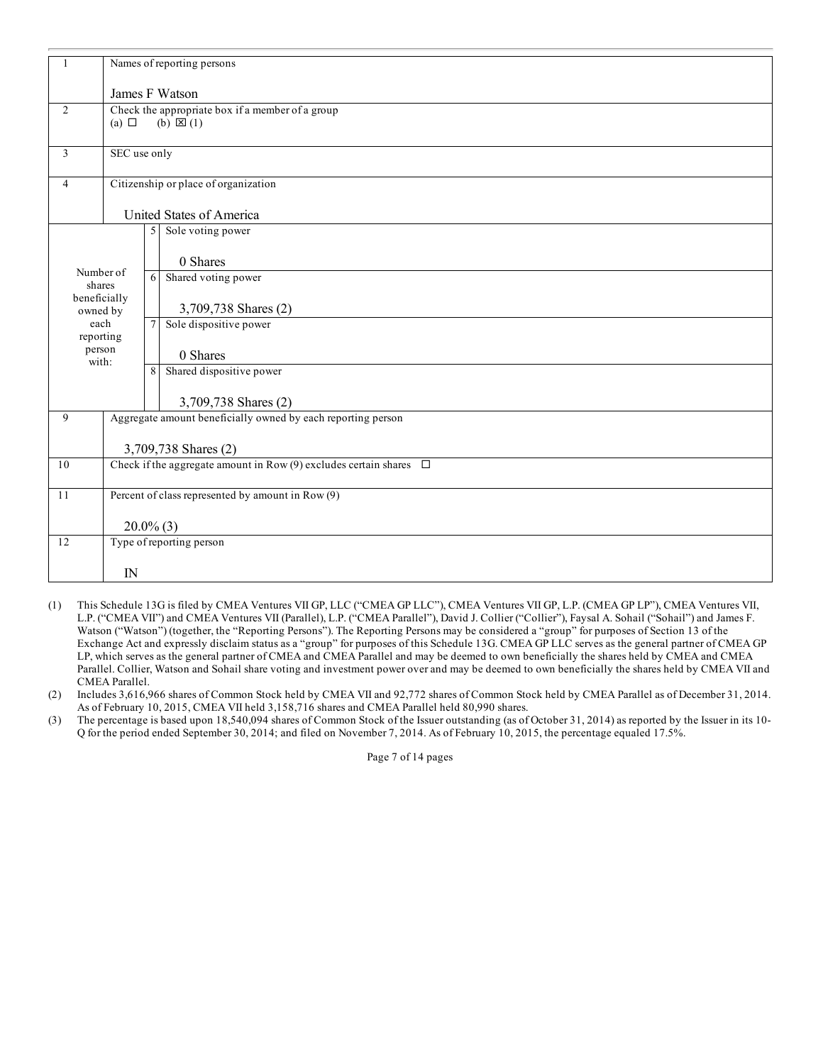|                          | Names of reporting persons                                              |                                                                         |                                                              |  |  |  |
|--------------------------|-------------------------------------------------------------------------|-------------------------------------------------------------------------|--------------------------------------------------------------|--|--|--|
|                          | James F Watson                                                          |                                                                         |                                                              |  |  |  |
| $\overline{2}$           | (a) $\Box$                                                              | Check the appropriate box if a member of a group<br>$(b) \boxtimes (1)$ |                                                              |  |  |  |
| 3                        | SEC use only                                                            |                                                                         |                                                              |  |  |  |
| 4                        |                                                                         |                                                                         | Citizenship or place of organization                         |  |  |  |
|                          |                                                                         |                                                                         | United States of America                                     |  |  |  |
|                          |                                                                         | 5                                                                       | Sole voting power                                            |  |  |  |
| Number of                |                                                                         |                                                                         | 0 Shares                                                     |  |  |  |
| shares                   |                                                                         | 6                                                                       | Shared voting power                                          |  |  |  |
| beneficially<br>owned by |                                                                         |                                                                         | 3,709,738 Shares (2)                                         |  |  |  |
| each<br>reporting        |                                                                         | $\tau$                                                                  | Sole dispositive power                                       |  |  |  |
| person<br>with:          |                                                                         |                                                                         | 0 Shares                                                     |  |  |  |
|                          |                                                                         | 8                                                                       | Shared dispositive power                                     |  |  |  |
|                          |                                                                         |                                                                         | 3,709,738 Shares (2)                                         |  |  |  |
| 9                        |                                                                         |                                                                         | Aggregate amount beneficially owned by each reporting person |  |  |  |
|                          | 3,709,738 Shares (2)                                                    |                                                                         |                                                              |  |  |  |
| $10\,$                   | Check if the aggregate amount in Row (9) excludes certain shares $\Box$ |                                                                         |                                                              |  |  |  |
| 11                       | Percent of class represented by amount in Row (9)                       |                                                                         |                                                              |  |  |  |
|                          | $20.0\%$ (3)                                                            |                                                                         |                                                              |  |  |  |
| 12                       |                                                                         |                                                                         | Type of reporting person                                     |  |  |  |
|                          | IN                                                                      |                                                                         |                                                              |  |  |  |

- (1) This Schedule 13G is filed by CMEA Ventures VII GP, LLC ("CMEA GP LLC"), CMEA Ventures VII GP, L.P. (CMEA GP LP"), CMEA Ventures VII, L.P. ("CMEA VII") and CMEA Ventures VII (Parallel), L.P. ("CMEA Parallel"), David J. Collier ("Collier"), Faysal A. Sohail ("Sohail") and James F. Watson ("Watson") (together, the "Reporting Persons"). The Reporting Persons may be considered a "group" for purposes of Section 13 of the Exchange Act and expressly disclaim status as a "group" for purposes of this Schedule 13G. CMEA GP LLC serves as the general partner of CMEA GP LP, which serves as the general partner of CMEA and CMEA Parallel and may be deemed to own beneficially the shares held by CMEA and CMEA Parallel. Collier, Watson and Sohail share voting and investment power over and may be deemed to own beneficially the shares held by CMEA VII and CMEA Parallel.
- (2) Includes 3,616,966 shares of Common Stock held by CMEA VII and 92,772 shares of Common Stock held by CMEA Parallel as of December 31, 2014. As of February 10, 2015, CMEA VII held 3,158,716 shares and CMEA Parallel held 80,990 shares.
- (3) The percentage is based upon 18,540,094 shares of Common Stock of the Issuer outstanding (as of October 31, 2014) as reported by the Issuer in its 10- Q for the period ended September 30, 2014; and filed on November 7, 2014. As of February 10, 2015, the percentage equaled 17.5%.

Page 7 of 14 pages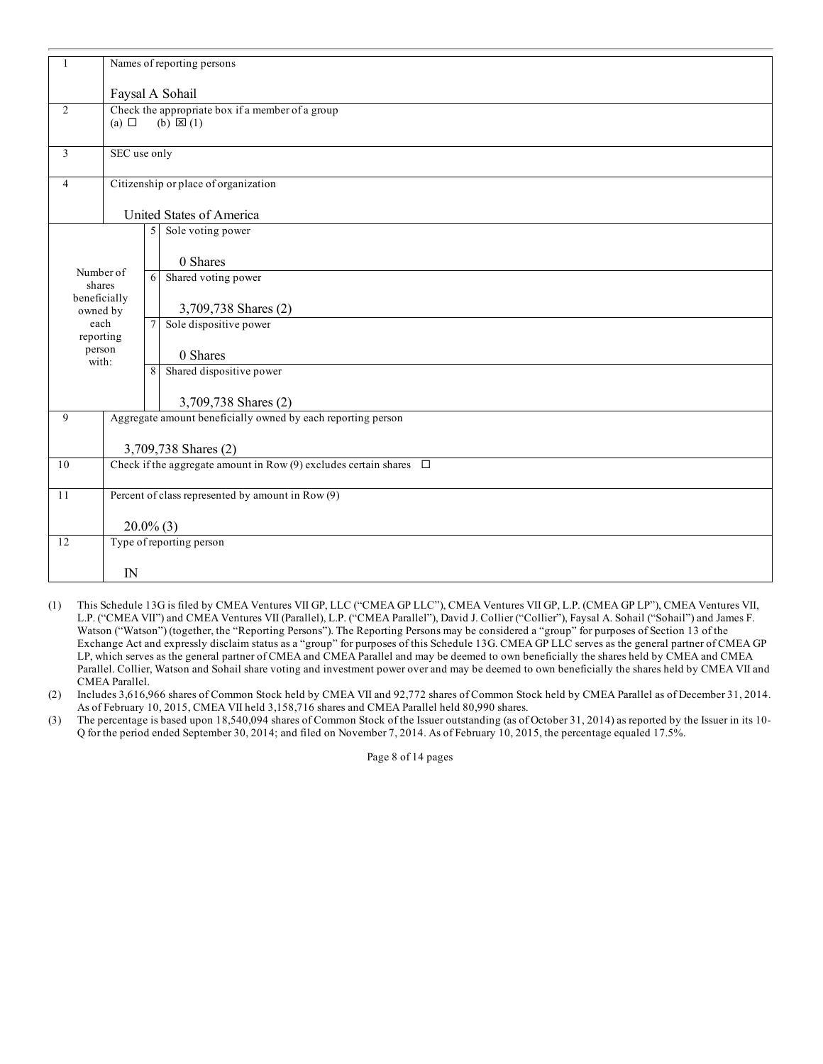|                          | Names of reporting persons                                              |                                                                         |                                                              |  |  |  |
|--------------------------|-------------------------------------------------------------------------|-------------------------------------------------------------------------|--------------------------------------------------------------|--|--|--|
|                          | Faysal A Sohail                                                         |                                                                         |                                                              |  |  |  |
| $\overline{2}$           | (a) $\Box$                                                              | Check the appropriate box if a member of a group<br>$(b) \boxtimes (1)$ |                                                              |  |  |  |
| 3                        | SEC use only                                                            |                                                                         |                                                              |  |  |  |
| 4                        |                                                                         |                                                                         | Citizenship or place of organization                         |  |  |  |
|                          |                                                                         |                                                                         | United States of America                                     |  |  |  |
|                          |                                                                         | 5                                                                       | Sole voting power                                            |  |  |  |
|                          |                                                                         |                                                                         | 0 Shares                                                     |  |  |  |
| Number of<br>shares      |                                                                         | 6                                                                       | Shared voting power                                          |  |  |  |
| beneficially<br>owned by |                                                                         |                                                                         | 3,709,738 Shares (2)                                         |  |  |  |
| each<br>reporting        |                                                                         | $\tau$                                                                  | Sole dispositive power                                       |  |  |  |
| person<br>with:          |                                                                         |                                                                         | 0 Shares                                                     |  |  |  |
|                          |                                                                         | 8                                                                       | Shared dispositive power                                     |  |  |  |
|                          |                                                                         |                                                                         | 3,709,738 Shares (2)                                         |  |  |  |
| 9                        |                                                                         |                                                                         | Aggregate amount beneficially owned by each reporting person |  |  |  |
|                          | 3,709,738 Shares (2)                                                    |                                                                         |                                                              |  |  |  |
| 10                       | Check if the aggregate amount in Row (9) excludes certain shares $\Box$ |                                                                         |                                                              |  |  |  |
| 11                       | Percent of class represented by amount in Row (9)                       |                                                                         |                                                              |  |  |  |
|                          | $20.0\%$ (3)                                                            |                                                                         |                                                              |  |  |  |
| 12                       |                                                                         |                                                                         | Type of reporting person                                     |  |  |  |
|                          | IN                                                                      |                                                                         |                                                              |  |  |  |

- (1) This Schedule 13G is filed by CMEA Ventures VII GP, LLC ("CMEA GP LLC"), CMEA Ventures VII GP, L.P. (CMEA GP LP"), CMEA Ventures VII, L.P. ("CMEA VII") and CMEA Ventures VII (Parallel), L.P. ("CMEA Parallel"), David J. Collier ("Collier"), Faysal A. Sohail ("Sohail") and James F. Watson ("Watson") (together, the "Reporting Persons"). The Reporting Persons may be considered a "group" for purposes of Section 13 of the Exchange Act and expressly disclaim status as a "group" for purposes of this Schedule 13G. CMEA GP LLC serves as the general partner of CMEA GP LP, which serves as the general partner of CMEA and CMEA Parallel and may be deemed to own beneficially the shares held by CMEA and CMEA Parallel. Collier, Watson and Sohail share voting and investment power over and may be deemed to own beneficially the shares held by CMEA VII and CMEA Parallel.
- (2) Includes 3,616,966 shares of Common Stock held by CMEA VII and 92,772 shares of Common Stock held by CMEA Parallel as of December 31, 2014. As of February 10, 2015, CMEA VII held 3,158,716 shares and CMEA Parallel held 80,990 shares.
- (3) The percentage is based upon 18,540,094 shares of Common Stock of the Issuer outstanding (as of October 31, 2014) as reported by the Issuer in its 10- Q for the period ended September 30, 2014; and filed on November 7, 2014. As of February 10, 2015, the percentage equaled 17.5%.

Page 8 of 14 pages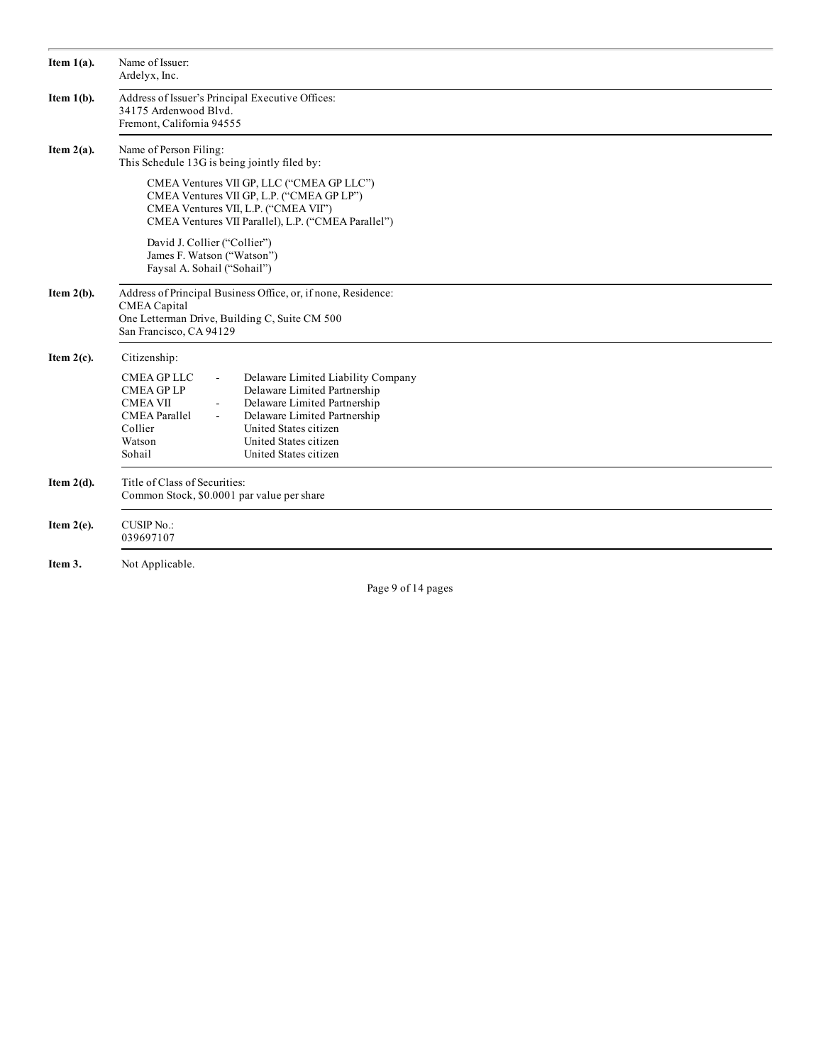| Item $1(a)$ . | Name of Issuer:<br>Ardelyx, Inc.                                                                                                                                                                                                                                                                                                                                      |  |  |  |  |  |  |  |  |
|---------------|-----------------------------------------------------------------------------------------------------------------------------------------------------------------------------------------------------------------------------------------------------------------------------------------------------------------------------------------------------------------------|--|--|--|--|--|--|--|--|
| Item $1(b)$ . | Address of Issuer's Principal Executive Offices:<br>34175 Ardenwood Blvd.<br>Fremont, California 94555                                                                                                                                                                                                                                                                |  |  |  |  |  |  |  |  |
| Item $2(a)$ . | Name of Person Filing:<br>This Schedule 13G is being jointly filed by:                                                                                                                                                                                                                                                                                                |  |  |  |  |  |  |  |  |
|               | CMEA Ventures VII GP, LLC ("CMEA GP LLC")<br>CMEA Ventures VII GP, L.P. ("CMEA GP LP")<br>CMEA Ventures VII, L.P. ("CMEA VII")<br>CMEA Ventures VII Parallel), L.P. ("CMEA Parallel")<br>David J. Collier ("Collier")<br>James F. Watson ("Watson")<br>Faysal A. Sohail ("Sohail")                                                                                    |  |  |  |  |  |  |  |  |
| Item $2(b)$ . | Address of Principal Business Office, or, if none, Residence:<br>CMEA Capital<br>One Letterman Drive, Building C, Suite CM 500<br>San Francisco, CA 94129                                                                                                                                                                                                             |  |  |  |  |  |  |  |  |
| Item $2(c)$ . | Citizenship:                                                                                                                                                                                                                                                                                                                                                          |  |  |  |  |  |  |  |  |
|               | <b>CMEA GP LLC</b><br>Delaware Limited Liability Company<br>$\blacksquare$<br>Delaware Limited Partnership<br><b>CMEA GPLP</b><br>Delaware Limited Partnership<br><b>CMEA VII</b><br><b>CMEA</b> Parallel<br>Delaware Limited Partnership<br>$\blacksquare$<br>United States citizen<br>Collier<br>United States citizen<br>Watson<br>Sohail<br>United States citizen |  |  |  |  |  |  |  |  |
| Item $2(d)$ . | Title of Class of Securities:<br>Common Stock, \$0.0001 par value per share                                                                                                                                                                                                                                                                                           |  |  |  |  |  |  |  |  |
| Item $2(e)$ . | <b>CUSIP No.:</b><br>039697107                                                                                                                                                                                                                                                                                                                                        |  |  |  |  |  |  |  |  |
| Item 3.       | Not Applicable.                                                                                                                                                                                                                                                                                                                                                       |  |  |  |  |  |  |  |  |

Page 9 of 14 pages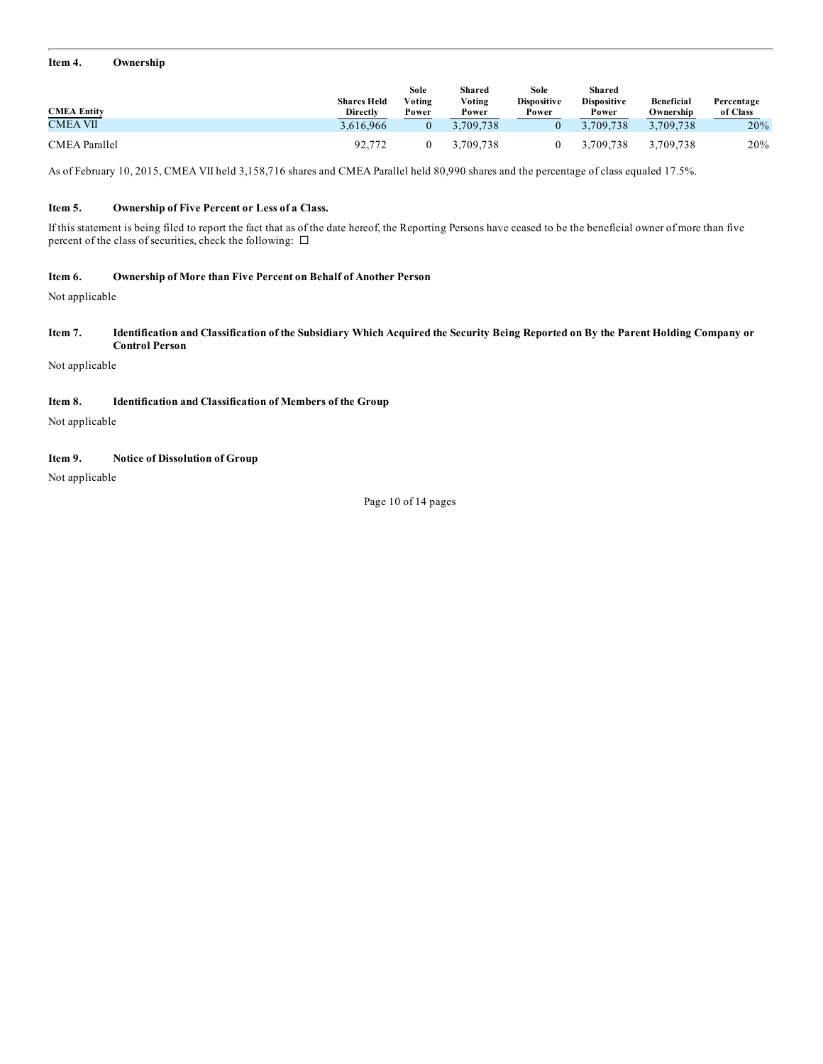#### **Item 4. Ownership**

|                      | <b>Shares Held</b> | Sole<br>Voting | Shared<br>Voting | Sole<br><b>Dispositive</b> | <b>Shared</b><br><b>Dispositive</b> | Beneficial | Percentage |
|----------------------|--------------------|----------------|------------------|----------------------------|-------------------------------------|------------|------------|
| <b>CMEA Entity</b>   | <b>Directly</b>    | Power          | Power            | Power                      | Power                               | Ownership  | of Class   |
| <b>CMEA VII</b>      | 3.616.966          |                | 3.709.738        |                            | 3.709.738                           | 3.709.738  | 20%        |
| <b>CMEA Parallel</b> | 92.772             |                | 3.709.738        |                            | 3.709.738                           | 3.709.738  | 20%        |

As of February 10, 2015, CMEA VII held 3,158,716 shares and CMEA Parallel held 80,990 shares and the percentage of class equaled 17.5%.

### **Item 5. Ownership of Five Percent or Less of a Class.**

If this statement is being filed to report the fact that as of the date hereof, the Reporting Persons have ceased to be the beneficial owner of more than five percent of the class of securities, check the following:  $\square$ 

#### **Item 6. Ownership of More than Five Percent on Behalf of Another Person**

Not applicable

Item 7. Identification and Classification of the Subsidiary Which Acquired the Security Being Reported on By the Parent Holding Company or **Control Person**

Not applicable

## **Item 8. Identification and Classification of Members of the Group**

Not applicable

## **Item 9. Notice of Dissolution of Group**

Not applicable

Page 10 of 14 pages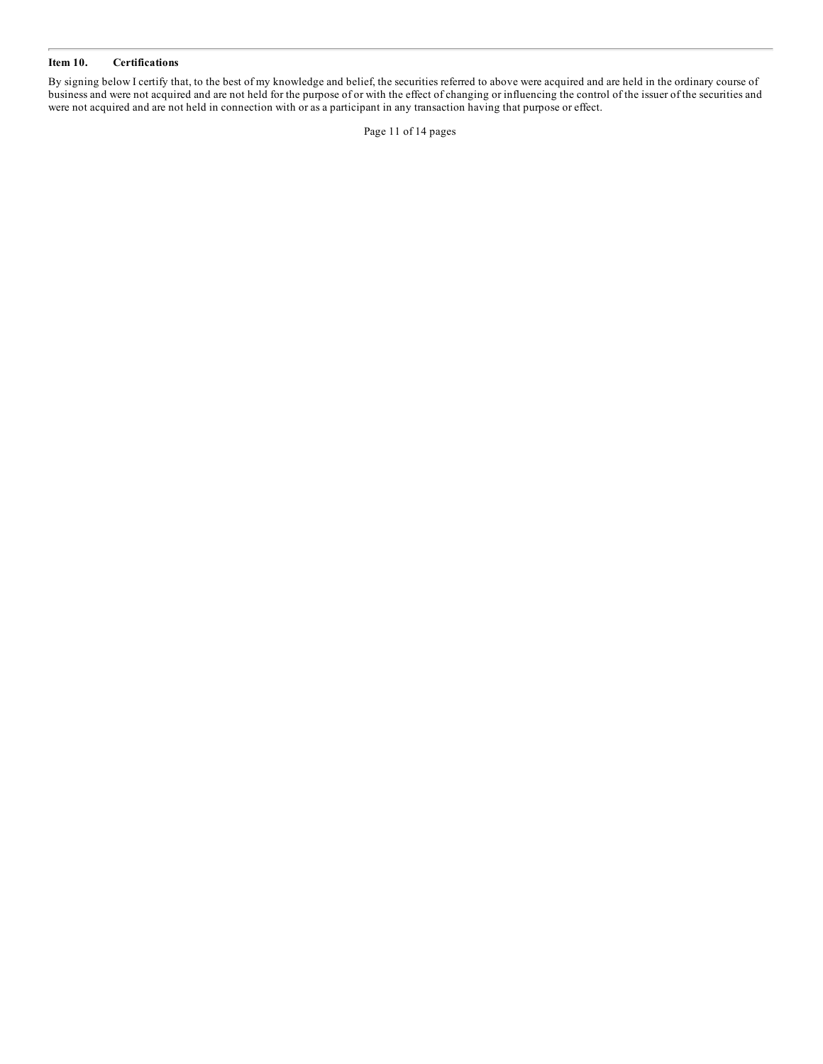#### **Item 10. Certifications**

By signing below I certify that, to the best of my knowledge and belief, the securities referred to above were acquired and are held in the ordinary course of business and were not acquired and are not held for the purpose of or with the effect of changing or influencing the control of the issuer of the securities and were not acquired and are not held in connection with or as a participant in any transaction having that purpose or effect.

Page 11 of 14 pages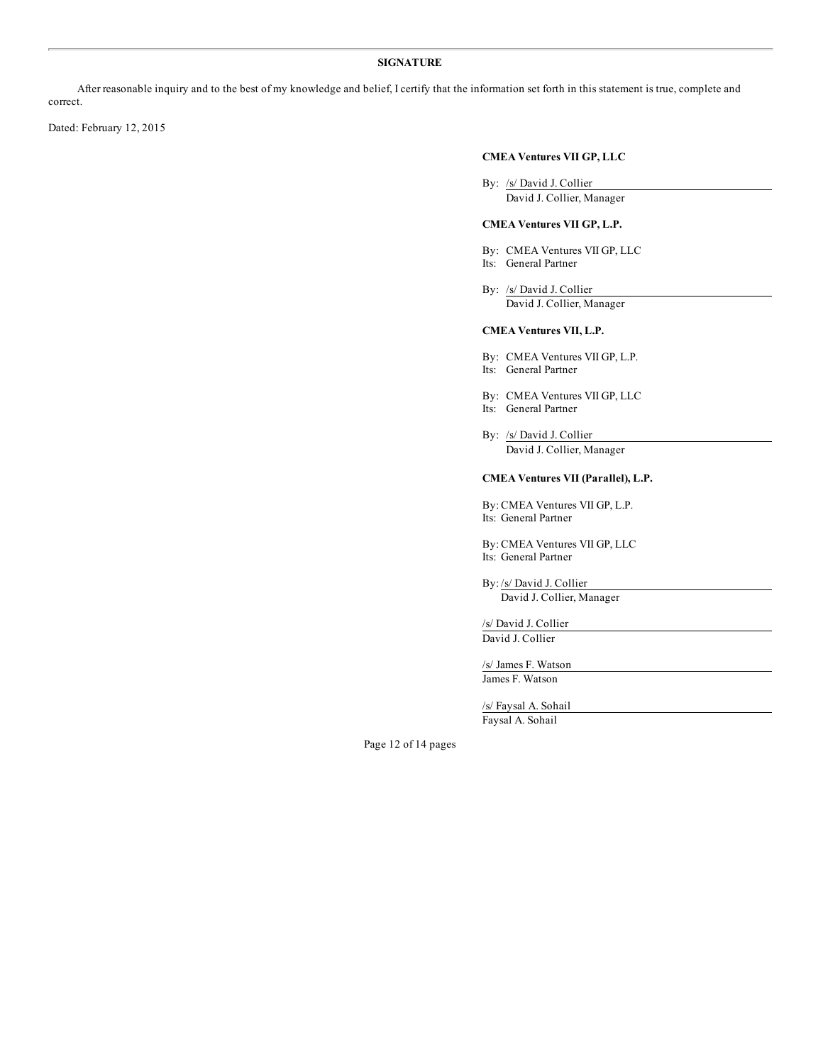#### **SIGNATURE**

After reasonable inquiry and to the best of my knowledge and belief, I certify that the information set forth in this statement is true, complete and correct.

Dated: February 12, 2015

## **CMEA Ventures VII GP, LLC**

By: /s/ David J. Collier David J. Collier, Manager

## **CMEA Ventures VII GP, L.P.**

- By: CMEA Ventures VII GP, LLC Its: General Partner
- 
- By: /s/ David J. Collier David J. Collier, Manager

## **CMEA Ventures VII, L.P.**

- By: CMEA Ventures VII GP, L.P. Its: General Partner
- 
- By: CMEA Ventures VII GP, LLC
- Its: General Partner
- By: /s/ David J. Collier David J. Collier, Manager

## **CMEA Ventures VII (Parallel), L.P.**

By: CMEA Ventures VII GP, L.P. Its: General Partner

By: CMEA Ventures VII GP, LLC Its: General Partner

By: /s/ David J. Collier David J. Collier, Manager

/s/ David J. Collier David J. Collier

/s/ James F. Watson James F. Watson

/s/ Faysal A. Sohail Faysal A. Sohail

Page 12 of 14 pages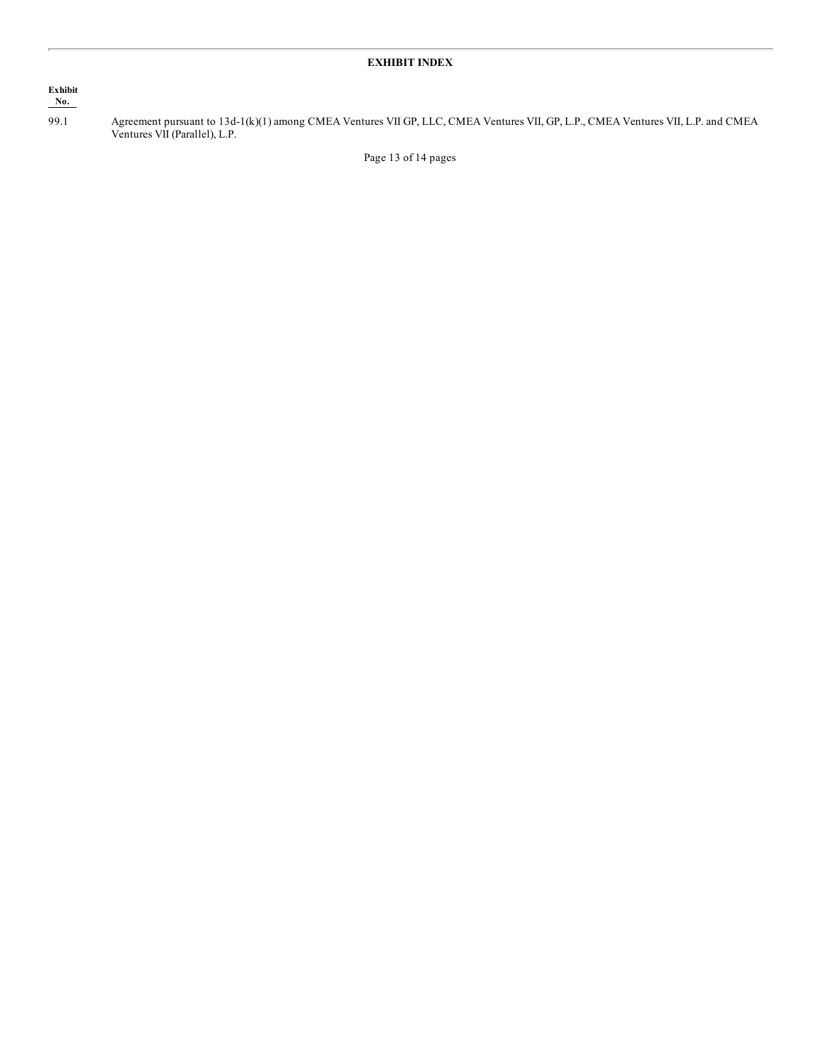## **Exhibit No.**

99.1 Agreement pursuant to 13d-1(k)(1) among CMEA Ventures VII GP, LLC, CMEA Ventures VII, GP, L.P., CMEA Ventures VII, L.P. and CMEA Ventures VII (Parallel), L.P.

Page 13 of 14 pages